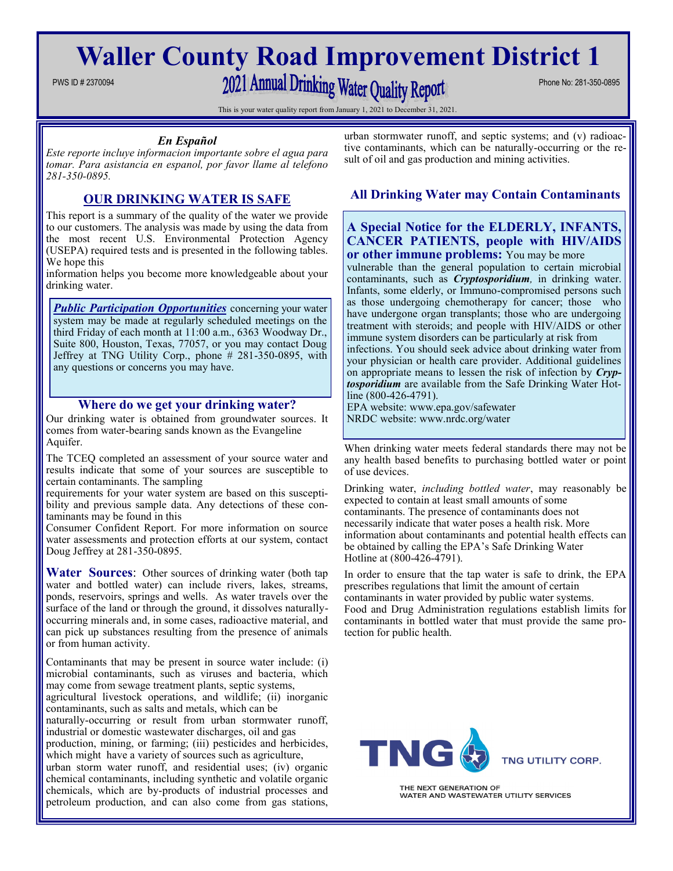# **Waller County Road Improvement District 1**

# PWS ID # 2370094 Phone No: 281-350-0895

This is your water quality report from January 1, 2021 to December 31, 2021.

#### *En Español*

*Este reporte incluye informacion importante sobre el agua para tomar. Para asistancia en espanol, por favor llame al telefono 281-350-0895.*

## **OUR DRINKING WATER IS SAFE**

This report is a summary of the quality of the water we provide to our customers. The analysis was made by using the data from the most recent U.S. Environmental Protection Agency (USEPA) required tests and is presented in the following tables. We hope this

information helps you become more knowledgeable about your drinking water.

**Public Participation Opportunities** concerning your water system may be made at regularly scheduled meetings on the third Friday of each month at 11:00 a.m., 6363 Woodway Dr., Suite 800, Houston, Texas, 77057, or you may contact Doug Jeffrey at TNG Utility Corp., phone # 281-350-0895, with any questions or concerns you may have.

#### **Where do we get your drinking water?**

Our drinking water is obtained from groundwater sources. It comes from water-bearing sands known as the Evangeline Aquifer.

The TCEQ completed an assessment of your source water and results indicate that some of your sources are susceptible to certain contaminants. The sampling

requirements for your water system are based on this susceptibility and previous sample data. Any detections of these contaminants may be found in this

Consumer Confident Report. For more information on source water assessments and protection efforts at our system, contact Doug Jeffrey at 281-350-0895.

**Water Sources**: Other sources of drinking water (both tap water and bottled water) can include rivers, lakes, streams, ponds, reservoirs, springs and wells. As water travels over the surface of the land or through the ground, it dissolves naturallyoccurring minerals and, in some cases, radioactive material, and can pick up substances resulting from the presence of animals or from human activity.

Contaminants that may be present in source water include: (i) microbial contaminants, such as viruses and bacteria, which may come from sewage treatment plants, septic systems,

agricultural livestock operations, and wildlife; (ii) inorganic contaminants, such as salts and metals, which can be

naturally-occurring or result from urban stormwater runoff, industrial or domestic wastewater discharges, oil and gas

production, mining, or farming; (iii) pesticides and herbicides, which might have a variety of sources such as agriculture,

urban storm water runoff, and residential uses; (iv) organic chemical contaminants, including synthetic and volatile organic chemicals, which are by-products of industrial processes and petroleum production, and can also come from gas stations,

urban stormwater runoff, and septic systems; and (v) radioactive contaminants, which can be naturally-occurring or the result of oil and gas production and mining activities.

### **All Drinking Water may Contain Contaminants**

#### **A Special Notice for the ELDERLY, INFANTS, CANCER PATIENTS, people with HIV/AIDS or other immune problems:** You may be more

vulnerable than the general population to certain microbial contaminants, such as *Cryptosporidium,* in drinking water. Infants, some elderly, or Immuno-compromised persons such as those undergoing chemotherapy for cancer; those who have undergone organ transplants; those who are undergoing treatment with steroids; and people with HIV/AIDS or other immune system disorders can be particularly at risk from

infections. You should seek advice about drinking water from your physician or health care provider. Additional guidelines on appropriate means to lessen the risk of infection by *Cryptosporidium* are available from the Safe Drinking Water Hotline (800-426-4791).

EPA website: www.epa.gov/safewater NRDC website: www.nrdc.org/water

When drinking water meets federal standards there may not be any health based benefits to purchasing bottled water or point of use devices.

Drinking water, *including bottled water*, may reasonably be expected to contain at least small amounts of some contaminants. The presence of contaminants does not necessarily indicate that water poses a health risk. More information about contaminants and potential health effects can be obtained by calling the EPA's Safe Drinking Water Hotline at (800-426-4791).

In order to ensure that the tap water is safe to drink, the EPA prescribes regulations that limit the amount of certain contaminants in water provided by public water systems. Food and Drug Administration regulations establish limits for contaminants in bottled water that must provide the same protection for public health.



THE NEXT GENERATION OF WATER AND WASTEWATER UTILITY SERVICES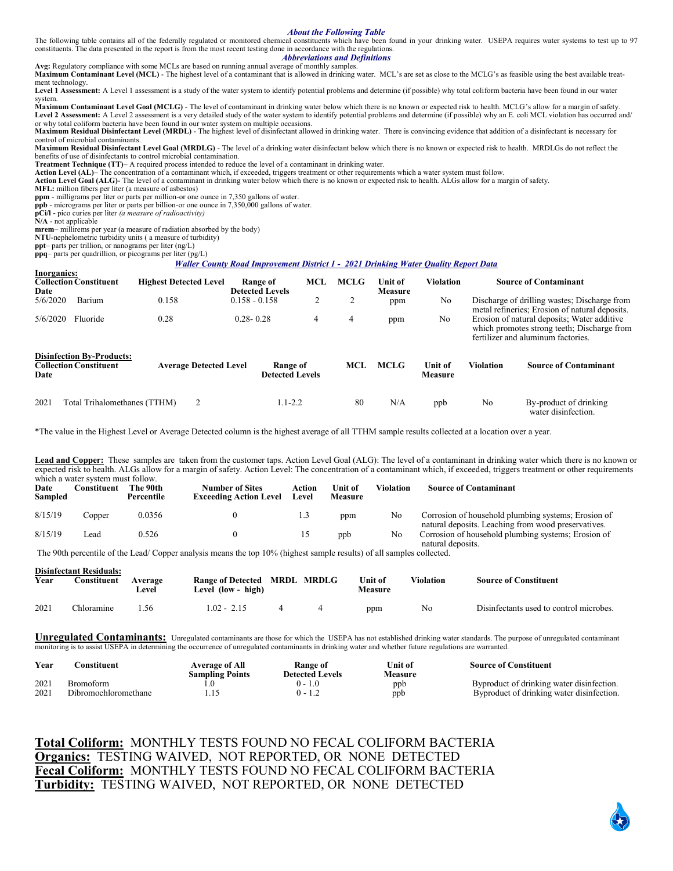#### *About the Following Table*

The following table contains all of the federally regulated or monitored chemical constituents which have been found in your drinking water. USEPA requires water systems to test up to 97 constituents. The data presented in the report is from the most recent testing done in accordance with the regulations.

*Abbreviations and Definitions*

**Avg:** Regulatory compliance with some MCLs are based on running annual average of monthly samples. **Maximum Contaminant Level (MCL)** - The highest level of a contaminant that is allowed in drinking water. MCL's are set as close to the MCLG's as feasible using the best available treatment technology.

Level 1 Assessment: A Level 1 assessment is a study of the water system to identify potential problems and determine (if possible) why total coliform bacteria have been found in our water system.

**Maximum Contaminant Level Goal (MCLG)** - The level of contaminant in drinking water below which there is no known or expected risk to health. MCLG's allow for a margin of safety. Level 2 Assessment: A Level 2 assessment is a very detailed study of the water system to identify potential problems and determine (if possible) why an E. coli MCL violation has occurred and/ or why total coliform bacteria have been found in our water system on multiple occasions.

**Maximum Residual Disinfectant Level (MRDL)** - The highest level of disinfectant allowed in drinking water. There is convincing evidence that addition of a disinfectant is necessary for control of microbial contaminants.

**Maximum Residual Disinfectant Level Goal (MRDLG)** - The level of a drinking water disinfectant below which there is no known or expected risk to health. MRDLGs do not reflect the benefits of use of disinfectants to control microbial contamination.

**Treatment Technique (TT)**– A required process intended to reduce the level of a contaminant in drinking water.

**Action Level (AL)**– The concentration of a contaminant which, if exceeded, triggers treatment or other requirements which a water system must follow.

**Action Level Goal (ALG)**- The level of a contaminant in drinking water below which there is no known or expected risk to health. ALGs allow for a margin of safety.

**MFL:** million fibers per liter (a measure of asbestos)

**ppm** - milligrams per liter or parts per million-or one ounce in 7,350 gallons of water.

**ppb** - micrograms per liter or parts per billion-or one ounce in 7,350,000 gallons of water. **pCi/l -** pico curies per liter *(a measure of radioactivity)* 

**N/A** - not applicable

**mrem**– millirems per year (a measure of radiation absorbed by the body)

**NTU**-nephelometric turbidity units ( a measure of turbidity)

**ppt**– parts per trillion, or nanograms per liter (ng/L)

**ppq**– parts per quadrillion, or picograms per liter (pg/L)

#### *Waller County Road Improvement District 1 - 2021 Drinking Water Quality Report Data*

| Inorganics:<br>Date | <b>Collection Constituent</b>                                     | <b>Highest Detected Level</b> |                 | Range of<br><b>Detected Levels</b> | MCL | <b>MCLG</b> | <b>Unit of</b><br><b>Measure</b> | <b>Violation</b>          |                                                                                                                                                                                    | <b>Source of Contaminant</b>                  |
|---------------------|-------------------------------------------------------------------|-------------------------------|-----------------|------------------------------------|-----|-------------|----------------------------------|---------------------------|------------------------------------------------------------------------------------------------------------------------------------------------------------------------------------|-----------------------------------------------|
| 5/6/2020            | Barium                                                            | 0.158                         | $0.158 - 0.158$ |                                    | 2   |             | ppm                              | N <sub>o</sub>            |                                                                                                                                                                                    | Discharge of drilling wastes; Discharge from  |
| 5/6/2020            | Fluoride                                                          | 0.28                          | $0.28 - 0.28$   |                                    | 4   | 4           | ppm                              | N <sub>o</sub>            | metal refineries: Erosion of natural deposits.<br>Erosion of natural deposits; Water additive<br>which promotes strong teeth; Discharge from<br>fertilizer and aluminum factories. |                                               |
| Date                | <b>Disinfection By-Products:</b><br><b>Collection Constituent</b> | <b>Average Detected Level</b> |                 | Range of<br><b>Detected Levels</b> |     | MCL         | <b>MCLG</b>                      | Unit of<br><b>Measure</b> | <b>Violation</b>                                                                                                                                                                   | <b>Source of Contaminant</b>                  |
| 2021                | Total Trihalomethanes (TTHM)                                      |                               |                 | $1.1 - 2.2$                        |     | 80          | N/A                              | ppb                       | No                                                                                                                                                                                 | By-product of drinking<br>water disinfection. |

\*The value in the Highest Level or Average Detected column is the highest average of all TTHM sample results collected at a location over a year.

**Lead and Copper:** These samples are taken from the customer taps. Action Level Goal (ALG): The level of a contaminant in drinking water which there is no known or expected risk to health. ALGs allow for a margin of safety. Action Level: The concentration of a contaminant which, if exceeded, triggers treatment or other requirements which a water system must follow.

| Date<br><b>Sampled</b> | which a watch system mast follow.<br>Constituent | The 90th<br>Percentile | <b>Number of Sites</b><br><b>Exceeding Action Level</b> | Action<br>Level | Unit of<br><b>Measure</b> | <b>Violation</b> | <b>Source of Contaminant</b>                                                                               |
|------------------------|--------------------------------------------------|------------------------|---------------------------------------------------------|-----------------|---------------------------|------------------|------------------------------------------------------------------------------------------------------------|
| 8/15/19                | Copper                                           | 0.0356                 |                                                         | 1.3             | ppm                       | No               | Corrosion of household plumbing systems; Erosion of<br>natural deposits. Leaching from wood preservatives. |
| 8/15/19                | ∟ead                                             | 0.526                  |                                                         |                 | ppb                       | No               | Corrosion of household plumbing systems; Erosion of<br>natural deposits.                                   |

The 90th percentile of the Lead/ Copper analysis means the top 10% (highest sample results) of all samples collected.

| Year | <b>Disinfectant Residuals:</b><br>Constituent | Average<br>Level | Range of Detected MRDL MRDLG<br>Level (low - high) |  | Unit of<br><b>Measure</b> | Violation | <b>Source of Constituent</b>            |
|------|-----------------------------------------------|------------------|----------------------------------------------------|--|---------------------------|-----------|-----------------------------------------|
| 2021 | Chloramine                                    | -56              | $1.02 - 2.15$                                      |  | ppm                       | No        | Disinfectants used to control microbes. |

Unregulated Contaminants: Unregulated contaminants are those for which the USEPA has not established drinking water standards. The purpose of unregulated contaminant monitoring is to assist USEPA in determining the occurrence of unregulated contaminants in drinking water and whether future regulations are warranted.

| Year         | `onstituent                              | <b>Average of All</b><br><b>Sampling Points</b> | <b>Range of</b><br><b>Detected Levels</b> | Unit of<br>Measure | <b>Source of Constituent</b>                                                           |
|--------------|------------------------------------------|-------------------------------------------------|-------------------------------------------|--------------------|----------------------------------------------------------------------------------------|
| 2021<br>2021 | <b>Bromoform</b><br>Dibromochloromethane |                                                 | $-1.0$                                    | ppb<br>ppb         | Byproduct of drinking water disinfection.<br>Byproduct of drinking water disinfection. |

**Total Coliform:** MONTHLY TESTS FOUND NO FECAL COLIFORM BACTERIA **Organics:** TESTING WAIVED, NOT REPORTED, OR NONE DETECTED **Fecal Coliform:** MONTHLY TESTS FOUND NO FECAL COLIFORM BACTERIA **Turbidity:** TESTING WAIVED, NOT REPORTED, OR NONE DETECTED